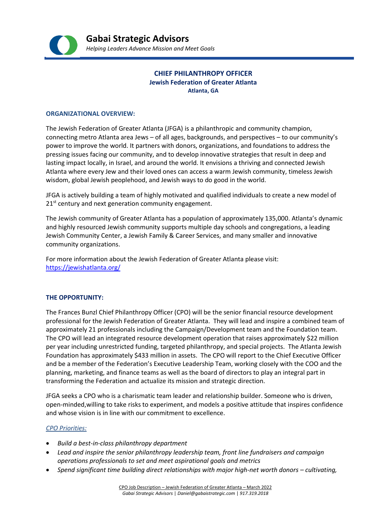

# **CHIEF PHILANTHROPY OFFICER Jewish Federation of Greater Atlanta Atlanta, GA**

#### **ORGANIZATIONAL OVERVIEW:**

The Jewish Federation of Greater Atlanta (JFGA) is a philanthropic and community champion, connecting metro Atlanta area Jews – of all ages, backgrounds, and perspectives – to our community's power to improve the world. It partners with donors, organizations, and foundations to address the pressing issues facing our community, and to develop innovative strategies that result in deep and lasting impact locally, in Israel, and around the world. It envisions a thriving and connected Jewish Atlanta where every Jew and their loved ones can access a warm Jewish community, timeless Jewish wisdom, global Jewish peoplehood, and Jewish ways to do good in the world.

JFGA is actively building a team of highly motivated and qualified individuals to create a new model of  $21<sup>st</sup>$  century and next generation community engagement.

The Jewish community of Greater Atlanta has a population of approximately 135,000. Atlanta's dynamic and highly resourced Jewish community supports multiple day schools and congregations, a leading Jewish Community Center, a Jewish Family & Career Services, and many smaller and innovative community organizations.

For more information about the Jewish Federation of Greater Atlanta please visit: <https://jewishatlanta.org/>

# **THE OPPORTUNITY:**

The Frances Bunzl Chief Philanthropy Officer (CPO) will be the senior financial resource development professional for the Jewish Federation of Greater Atlanta. They will lead and inspire a combined team of approximately 21 professionals including the Campaign/Development team and the Foundation team. The CPO will lead an integrated resource development operation that raises approximately \$22 million per year including unrestricted funding, targeted philanthropy, and special projects. The Atlanta Jewish Foundation has approximately \$433 million in assets. The CPO will report to the Chief Executive Officer and be a member of the Federation's Executive Leadership Team, working closely with the COO and the planning, marketing, and finance teams as well as the board of directors to play an integral part in transforming the Federation and actualize its mission and strategic direction.

JFGA seeks a CPO who is a charismatic team leader and relationship builder. Someone who is driven, open-minded,willing to take risks to experiment, and models a positive attitude that inspires confidence and whose vision is in line with our commitment to excellence.

#### *CPO Priorities:*

- *Build a best-in-class philanthropy department*
- *Lead and inspire the senior philanthropy leadership team, front line fundraisers and campaign operations professionals to set and meet aspirational goals and metrics*
- *Spend significant time building direct relationships with major high-net worth donors – cultivating,*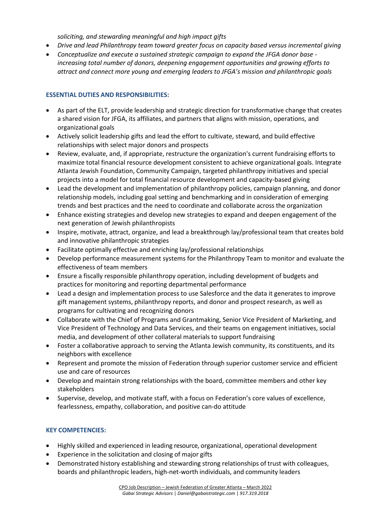*soliciting, and stewarding meaningful and high impact gifts*

- *Drive and lead Philanthropy team toward greater focus on capacity based versus incremental giving*
- *Conceptualize and execute a sustained strategic campaign to expand the JFGA donor base increasing total number of donors, deepening engagement opportunities and growing efforts to attract and connect more young and emerging leaders to JFGA's mission and philanthropic goals*

# **ESSENTIAL DUTIES AND RESPONSIBILITIES:**

- As part of the ELT, provide leadership and strategic direction for transformative change that creates a shared vision for JFGA, its affiliates, and partners that aligns with mission, operations, and organizational goals
- Actively solicit leadership gifts and lead the effort to cultivate, steward, and build effective relationships with select major donors and prospects
- Review, evaluate, and, if appropriate, restructure the organization's current fundraising efforts to maximize total financial resource development consistent to achieve organizational goals. Integrate Atlanta Jewish Foundation, Community Campaign, targeted philanthropy initiatives and special projects into a model for total financial resource development and capacity-based giving
- Lead the development and implementation of philanthropy policies, campaign planning, and donor relationship models, including goal setting and benchmarking and in consideration of emerging trends and best practices and the need to coordinate and collaborate across the organization
- Enhance existing strategies and develop new strategies to expand and deepen engagement of the next generation of Jewish philanthropists
- Inspire, motivate, attract, organize, and lead a breakthrough lay/professional team that creates bold and innovative philanthropic strategies
- Facilitate optimally effective and enriching lay/professional relationships
- Develop performance measurement systems for the Philanthropy Team to monitor and evaluate the effectiveness of team members
- Ensure a fiscally responsible philanthropy operation, including development of budgets and practices for monitoring and reporting departmental performance
- Lead a design and implementation process to use Salesforce and the data it generates to improve gift management systems, philanthropy reports, and donor and prospect research, as well as programs for cultivating and recognizing donors
- Collaborate with the Chief of Programs and Grantmaking, Senior Vice President of Marketing, and Vice President of Technology and Data Services, and their teams on engagement initiatives, social media, and development of other collateral materials to support fundraising
- Foster a collaborative approach to serving the Atlanta Jewish community, its constituents, and its neighbors with excellence
- Represent and promote the mission of Federation through superior customer service and efficient use and care of resources
- Develop and maintain strong relationships with the board, committee members and other key stakeholders
- Supervise, develop, and motivate staff, with a focus on Federation's core values of excellence, fearlessness, empathy, collaboration, and positive can-do attitude

# **KEY COMPETENCIES:**

- Highly skilled and experienced in leading resource, organizational, operational development
- Experience in the solicitation and closing of major gifts
- Demonstrated history establishing and stewarding strong relationships of trust with colleagues, boards and philanthropic leaders, high-net-worth individuals, and community leaders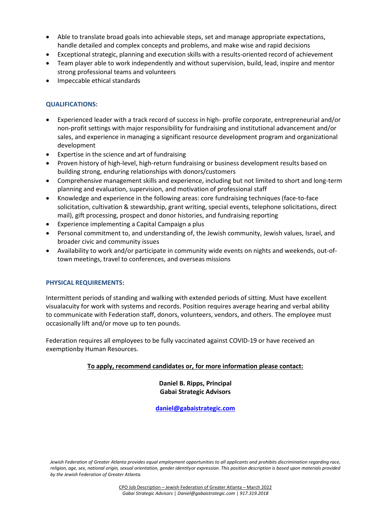- Able to translate broad goals into achievable steps, set and manage appropriate expectations, handle detailed and complex concepts and problems, and make wise and rapid decisions
- Exceptional strategic, planning and execution skills with a results-oriented record of achievement
- Team player able to work independently and without supervision, build, lead, inspire and mentor strong professional teams and volunteers
- Impeccable ethical standards

# **QUALIFICATIONS:**

- Experienced leader with a track record of success in high- profile corporate, entrepreneurial and/or non-profit settings with major responsibility for fundraising and institutional advancement and/or sales, and experience in managing a significant resource development program and organizational development
- Expertise in the science and art of fundraising
- Proven history of high-level, high-return fundraising or business development results based on building strong, enduring relationships with donors/customers
- Comprehensive management skills and experience, including but not limited to short and long-term planning and evaluation, supervision, and motivation of professional staff
- Knowledge and experience in the following areas: core fundraising techniques (face-to-face solicitation, cultivation & stewardship, grant writing, special events, telephone solicitations, direct mail), gift processing, prospect and donor histories, and fundraising reporting
- Experience implementing a Capital Campaign a plus
- Personal commitment to, and understanding of, the Jewish community, Jewish values, Israel, and broader civic and community issues
- Availability to work and/or participate in community wide events on nights and weekends, out-oftown meetings, travel to conferences, and overseas missions

# **PHYSICAL REQUIREMENTS:**

Intermittent periods of standing and walking with extended periods of sitting. Must have excellent visualacuity for work with systems and records. Position requires average hearing and verbal ability to communicate with Federation staff, donors, volunteers, vendors, and others. The employee must occasionally lift and/or move up to ten pounds.

Federation requires all employees to be fully vaccinated against COVID-19 or have received an exemptionby Human Resources.

# **To apply, recommend candidates or, for more information please contact:**

**Daniel B. Ripps, Principal Gabai Strategic Advisors**

**[daniel@gabaistrategic.com](mailto:daniel@gabaistrategic.com)**

*Jewish Federation of Greater Atlanta provides equal employment opportunities to all applicants and prohibits discrimination regarding race, religion, age, sex, national origin, sexual orientation, gender identityor expression. This position description is based upon materials provided by the Jewish Federation of Greater Atlanta.*